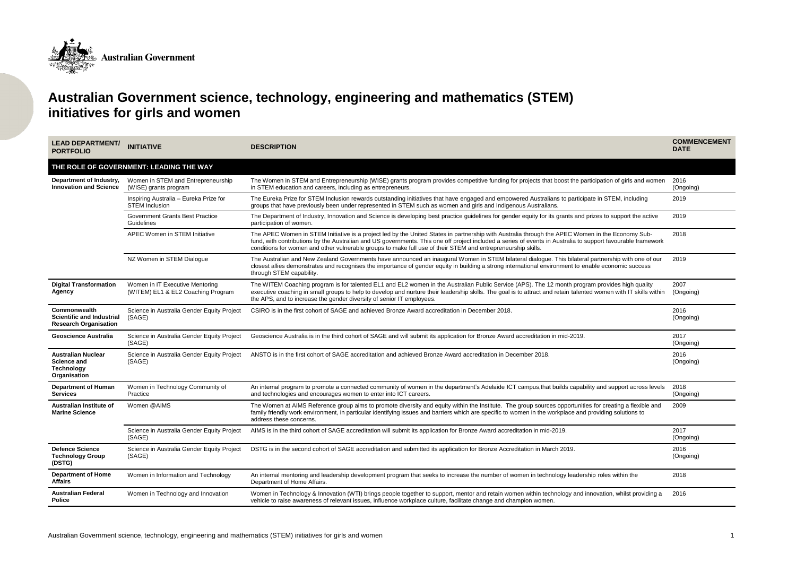

## **Australian Government science, technology, engineering and mathematics (STEM) initiatives for girls and women**

| <b>LEAD DEPARTMENT/</b><br><b>PORTFOLIO</b>                                          | <b>INITIATIVE</b>                                                     | <b>DESCRIPTION</b>                                                                                                                                                                                                                                                                                                                                                                                                               | <b>COMMENCEMENT</b><br><b>DATE</b> |
|--------------------------------------------------------------------------------------|-----------------------------------------------------------------------|----------------------------------------------------------------------------------------------------------------------------------------------------------------------------------------------------------------------------------------------------------------------------------------------------------------------------------------------------------------------------------------------------------------------------------|------------------------------------|
|                                                                                      | THE ROLE OF GOVERNMENT: LEADING THE WAY                               |                                                                                                                                                                                                                                                                                                                                                                                                                                  |                                    |
| Department of Industry,<br><b>Innovation and Science</b>                             | Women in STEM and Entrepreneurship<br>(WISE) grants program           | The Women in STEM and Entrepreneurship (WISE) grants program provides competitive funding for projects that boost the participation of girls and women<br>in STEM education and careers, including as entrepreneurs.                                                                                                                                                                                                             | 2016<br>(Ongoing)                  |
|                                                                                      | Inspiring Australia - Eureka Prize for<br><b>STEM Inclusion</b>       | The Eureka Prize for STEM Inclusion rewards outstanding initiatives that have engaged and empowered Australians to participate in STEM, including<br>groups that have previously been under represented in STEM such as women and girls and Indigenous Australians.                                                                                                                                                              | 2019                               |
|                                                                                      | <b>Government Grants Best Practice</b><br>Guidelines                  | The Department of Industry, Innovation and Science is developing best practice guidelines for gender equity for its grants and prizes to support the active<br>participation of women.                                                                                                                                                                                                                                           | 2019                               |
|                                                                                      | APEC Women in STEM Initiative                                         | The APEC Women in STEM Initiative is a project led by the United States in partnership with Australia through the APEC Women in the Economy Sub-<br>fund, with contributions by the Australian and US governments. This one off project included a series of events in Australia to support favourable framework<br>conditions for women and other vulnerable groups to make full use of their STEM and entrepreneurship skills. | 2018                               |
|                                                                                      | NZ Women in STEM Dialogue                                             | The Australian and New Zealand Governments have announced an inaugural Women in STEM bilateral dialogue. This bilateral partnership with one of our<br>closest allies demonstrates and recognises the importance of gender equity in building a strong international environment to enable economic success<br>through STEM capability.                                                                                          | 2019                               |
| <b>Digital Transformation</b><br>Agency                                              | Women in IT Executive Mentoring<br>(WITEM) EL1 & EL2 Coaching Program | The WITEM Coaching program is for talented EL1 and EL2 women in the Australian Public Service (APS). The 12 month program provides high quality<br>executive coaching in small groups to help to develop and nurture their leadership skills. The goal is to attract and retain talented women with IT skills within<br>the APS, and to increase the gender diversity of senior IT employees.                                    | 2007<br>(Ongoing)                  |
| Commonwealth<br><b>Scientific and Industrial</b><br><b>Research Organisation</b>     | Science in Australia Gender Equity Project<br>(SAGE)                  | CSIRO is in the first cohort of SAGE and achieved Bronze Award accreditation in December 2018.                                                                                                                                                                                                                                                                                                                                   | 2016<br>(Ongoing)                  |
| <b>Geoscience Australia</b>                                                          | Science in Australia Gender Equity Project<br>(SAGE)                  | Geoscience Australia is in the third cohort of SAGE and will submit its application for Bronze Award accreditation in mid-2019.                                                                                                                                                                                                                                                                                                  | 2017<br>(Ongoing)                  |
| <b>Australian Nuclear</b><br><b>Science and</b><br><b>Technology</b><br>Organisation | Science in Australia Gender Equity Project<br>(SAGE)                  | ANSTO is in the first cohort of SAGE accreditation and achieved Bronze Award accreditation in December 2018.                                                                                                                                                                                                                                                                                                                     | 2016<br>(Ongoing)                  |
| <b>Department of Human</b><br><b>Services</b>                                        | Women in Technology Community of<br>Practice                          | An internal program to promote a connected community of women in the department's Adelaide ICT campus, that builds capability and support across levels<br>and technologies and encourages women to enter into ICT careers.                                                                                                                                                                                                      | 2018<br>(Ongoing)                  |
| Australian Institute of<br><b>Marine Science</b>                                     | Women @AIMS                                                           | The Women at AIMS Reference group aims to promote diversity and equity within the Institute. The group sources opportunities for creating a flexible and<br>family friendly work environment, in particular identifying issues and barriers which are specific to women in the workplace and providing solutions to<br>address these concerns.                                                                                   | 2009                               |
|                                                                                      | Science in Australia Gender Equity Project<br>(SAGE)                  | AIMS is in the third cohort of SAGE accreditation will submit its application for Bronze Award accreditation in mid-2019.                                                                                                                                                                                                                                                                                                        | 2017<br>(Ongoing)                  |
| <b>Defence Science</b><br><b>Technology Group</b><br>(DSTG)                          | Science in Australia Gender Equity Project<br>(SAGE)                  | DSTG is in the second cohort of SAGE accreditation and submitted its application for Bronze Accreditation in March 2019.                                                                                                                                                                                                                                                                                                         | 2016<br>(Ongoing)                  |
| <b>Department of Home</b><br><b>Affairs</b>                                          | Women in Information and Technology                                   | An internal mentoring and leadership development program that seeks to increase the number of women in technology leadership roles within the<br>Department of Home Affairs.                                                                                                                                                                                                                                                     | 2018                               |
| <b>Australian Federal</b><br><b>Police</b>                                           | Women in Technology and Innovation                                    | Women in Technology & Innovation (WTI) brings people together to support, mentor and retain women within technology and innovation, whilst providing a<br>vehicle to raise awareness of relevant issues, influence workplace culture, facilitate change and champion women.                                                                                                                                                      | 2016                               |
|                                                                                      |                                                                       |                                                                                                                                                                                                                                                                                                                                                                                                                                  |                                    |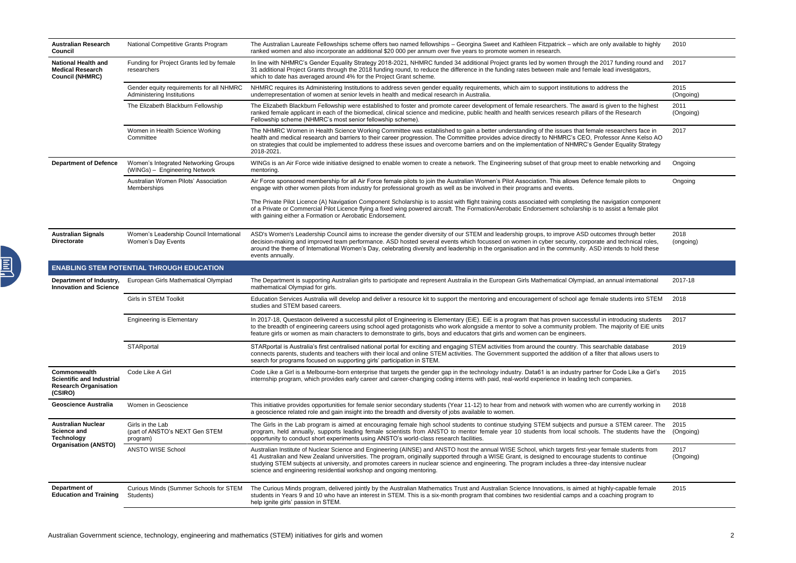| <b>Australian Research</b><br><b>Council</b>                                                 | National Competitive Grants Program                                    | The Australian Laureate Fellowships scheme offers two named fellowships - Georgina Sweet and Kathleen Fitzpatrick - which are only available to highly<br>ranked women and also incorporate an additional \$20 000 per annum over five years to promote women in research.                                                                                                                                                                                                                                                            | 2010              |
|----------------------------------------------------------------------------------------------|------------------------------------------------------------------------|---------------------------------------------------------------------------------------------------------------------------------------------------------------------------------------------------------------------------------------------------------------------------------------------------------------------------------------------------------------------------------------------------------------------------------------------------------------------------------------------------------------------------------------|-------------------|
| <b>National Health and</b><br><b>Medical Research</b><br><b>Council (NHMRC)</b>              | Funding for Project Grants led by female<br>researchers                | In line with NHMRC's Gender Equality Strategy 2018-2021, NHMRC funded 34 additional Project grants led by women through the 2017 funding round and<br>31 additional Project Grants through the 2018 funding round, to reduce the difference in the funding rates between male and female lead investigators,<br>which to date has averaged around 4% for the Project Grant scheme.                                                                                                                                                    | 2017              |
|                                                                                              | Gender equity requirements for all NHMRC<br>Administering Institutions | NHMRC requires its Administering Institutions to address seven gender equality requirements, which aim to support institutions to address the<br>underrepresentation of women at senior levels in health and medical research in Australia.                                                                                                                                                                                                                                                                                           | 2015<br>(Ongoing) |
|                                                                                              | The Elizabeth Blackburn Fellowship                                     | The Elizabeth Blackburn Fellowship were established to foster and promote career development of female researchers. The award is given to the highest<br>ranked female applicant in each of the biomedical, clinical science and medicine, public health and health services research pillars of the Research<br>Fellowship scheme (NHMRC's most senior fellowship scheme).                                                                                                                                                           | 2011<br>(Ongoing) |
|                                                                                              | Women in Health Science Working<br>Committee                           | The NHMRC Women in Health Science Working Committee was established to gain a better understanding of the issues that female researchers face in<br>health and medical research and barriers to their career progression. The Committee provides advice directly to NHMRC's CEO, Professor Anne Kelso AO<br>on strategies that could be implemented to address these issues and overcome barriers and on the implementation of NHMRC's Gender Equality Strategy<br>2018-2021.                                                         | 2017              |
| <b>Department of Defence</b>                                                                 | Women's Integrated Networking Groups<br>(WINGs) - Engineering Network  | WINGs is an Air Force wide initiative designed to enable women to create a network. The Engineering subset of that group meet to enable networking and<br>mentoring.                                                                                                                                                                                                                                                                                                                                                                  | Ongoing           |
|                                                                                              | Australian Women Pilots' Association<br>Memberships                    | Air Force sponsored membership for all Air Force female pilots to join the Australian Women's Pilot Association. This allows Defence female pilots to<br>engage with other women pilots from industry for professional growth as well as be involved in their programs and events.                                                                                                                                                                                                                                                    | Ongoing           |
|                                                                                              |                                                                        | The Private Pilot Licence (A) Navigation Component Scholarship is to assist with flight training costs associated with completing the navigation component<br>of a Private or Commercial Pilot Licence flying a fixed wing powered aircraft. The Formation/Aerobatic Endorsement scholarship is to assist a female pilot<br>with gaining either a Formation or Aerobatic Endorsement.                                                                                                                                                 |                   |
| <b>Australian Signals</b><br><b>Directorate</b>                                              | Women's Leadership Council International<br>Women's Day Events         | ASD's Women's Leadership Council aims to increase the gender diversity of our STEM and leadership groups, to improve ASD outcomes through better<br>decision-making and improved team performance. ASD hosted several events which focussed on women in cyber security, corporate and technical roles,<br>around the theme of International Women's Day, celebrating diversity and leadership in the organisation and in the community. ASD intends to hold these<br>events annually.                                                 | 2018<br>(ongoing) |
|                                                                                              | <b>ENABLING STEM POTENTIAL THROUGH EDUCATION</b>                       |                                                                                                                                                                                                                                                                                                                                                                                                                                                                                                                                       |                   |
| Department of Industry,<br><b>Innovation and Science</b>                                     | European Girls Mathematical Olympiad                                   | The Department is supporting Australian girls to participate and represent Australia in the European Girls Mathematical Olympiad, an annual international<br>mathematical Olympiad for girls.                                                                                                                                                                                                                                                                                                                                         | 2017-18           |
|                                                                                              | <b>Girls in STEM Toolkit</b>                                           | Education Services Australia will develop and deliver a resource kit to support the mentoring and encouragement of school age female students into STEM<br>studies and STEM based careers.                                                                                                                                                                                                                                                                                                                                            | 2018              |
|                                                                                              | <b>Engineering is Elementary</b>                                       | In 2017-18, Questacon delivered a successful pilot of Engineering is Elementary (EiE). EiE is a program that has proven successful in introducing students<br>to the breadth of engineering careers using school aged protagonists who work alongside a mentor to solve a community problem. The majority of EiE units<br>feature girls or women as main characters to demonstrate to girls, boys and educators that girls and women can be engineers.                                                                                | 2017              |
|                                                                                              | STARportal                                                             | STARportal is Australia's first centralised national portal for exciting and engaging STEM activities from around the country. This searchable database<br>connects parents, students and teachers with their local and online STEM activities. The Government supported the addition of a filter that allows users to<br>search for programs focused on supporting girls' participation in STEM.                                                                                                                                     | 2019              |
| Commonwealth<br><b>Scientific and Industrial</b><br><b>Research Organisation</b><br>(CSIRO)  | Code Like A Girl                                                       | Code Like a Girl is a Melbourne-born enterprise that targets the gender gap in the technology industry. Data61 is an industry partner for Code Like a Girl's<br>internship program, which provides early career and career-changing coding interns with paid, real-world experience in leading tech companies.                                                                                                                                                                                                                        | 2015              |
| <b>Geoscience Australia</b>                                                                  | Women in Geoscience                                                    | This initiative provides opportunities for female senior secondary students (Year 11-12) to hear from and network with women who are currently working in<br>a geoscience related role and gain insight into the breadth and diversity of jobs available to women.                                                                                                                                                                                                                                                                    | 2018              |
| <b>Australian Nuclear</b><br><b>Science and</b><br>Technology<br><b>Organisation (ANSTO)</b> | Girls in the Lab<br>(part of ANSTO's NEXT Gen STEM<br>program)         | The Girls in the Lab program is aimed at encouraging female high school students to continue studying STEM subjects and pursue a STEM career. The<br>program, held annually, supports leading female scientists from ANSTO to mentor female year 10 students from local schools. The students have the<br>opportunity to conduct short experiments using ANSTO's world-class research facilities.                                                                                                                                     | 2015<br>(Ongoing) |
|                                                                                              | <b>ANSTO WISE School</b>                                               | Australian Institute of Nuclear Science and Engineering (AINSE) and ANSTO host the annual WISE School, which targets first-year female students from<br>41 Australian and New Zealand universities. The program, originally supported through a WISE Grant, is designed to encourage students to continue<br>studying STEM subjects at university, and promotes careers in nuclear science and engineering. The program includes a three-day intensive nuclear<br>science and engineering residential workshop and ongoing mentoring. | 2017<br>(Ongoing) |
| Department of<br><b>Education and Training</b>                                               | Curious Minds (Summer Schools for STEM<br>Students)                    | The Curious Minds program, delivered jointly by the Australian Mathematics Trust and Australian Science Innovations, is aimed at highly-capable female<br>students in Years 9 and 10 who have an interest in STEM. This is a six-month program that combines two residential camps and a coaching program to<br>help ignite girls' passion in STEM.                                                                                                                                                                                   | 2015              |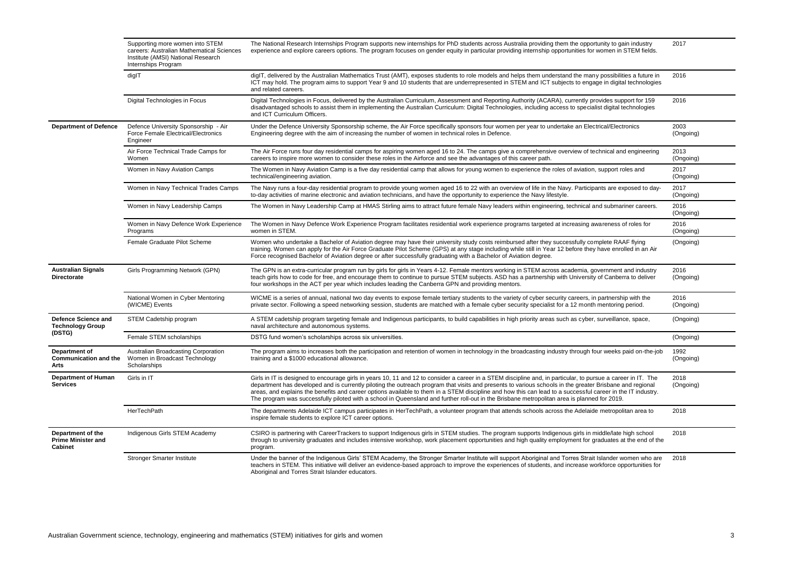|                                                                  | Supporting more women into STEM<br>careers: Australian Mathematical Sciences<br>Institute (AMSI) National Research<br>Internships Program | The National Research Internships Program supports new internships for PhD students across Australia providing them the opportunity to gain industry<br>experience and explore careers options. The program focuses on gender equity in particular providing internship opportunities for women in STEM fields.                                                                                                                                                                                                                                                                                                                          | 2017              |
|------------------------------------------------------------------|-------------------------------------------------------------------------------------------------------------------------------------------|------------------------------------------------------------------------------------------------------------------------------------------------------------------------------------------------------------------------------------------------------------------------------------------------------------------------------------------------------------------------------------------------------------------------------------------------------------------------------------------------------------------------------------------------------------------------------------------------------------------------------------------|-------------------|
|                                                                  | diglT                                                                                                                                     | digIT, delivered by the Australian Mathematics Trust (AMT), exposes students to role models and helps them understand the many possibilities a future in<br>ICT may hold. The program aims to support Year 9 and 10 students that are underrepresented in STEM and ICT subjects to engage in digital technologies<br>and related careers.                                                                                                                                                                                                                                                                                                | 2016              |
|                                                                  | Digital Technologies in Focus                                                                                                             | Digital Technologies in Focus, delivered by the Australian Curriculum, Assessment and Reporting Authority (ACARA), currently provides support for 159<br>disadvantaged schools to assist them in implementing the Australian Curriculum: Digital Technologies, including access to specialist digital technologies<br>and ICT Curriculum Officers.                                                                                                                                                                                                                                                                                       | 2016              |
| <b>Department of Defence</b>                                     | Defence University Sponsorship - Air<br>Force Female Electrical/Electronics<br>Engineer                                                   | Under the Defence University Sponsorship scheme, the Air Force specifically sponsors four women per year to undertake an Electrical/Electronics<br>Engineering degree with the aim of increasing the number of women in technical roles in Defence.                                                                                                                                                                                                                                                                                                                                                                                      | 2003<br>(Ongoing) |
|                                                                  | Air Force Technical Trade Camps for<br>Women                                                                                              | The Air Force runs four day residential camps for aspiring women aged 16 to 24. The camps give a comprehensive overview of technical and engineering<br>careers to inspire more women to consider these roles in the Airforce and see the advantages of this career path.                                                                                                                                                                                                                                                                                                                                                                | 2013<br>(Ongoing) |
|                                                                  | Women in Navy Aviation Camps                                                                                                              | The Women in Navy Aviation Camp is a five day residential camp that allows for young women to experience the roles of aviation, support roles and<br>technical/engineering aviation.                                                                                                                                                                                                                                                                                                                                                                                                                                                     | 2017<br>(Ongoing) |
|                                                                  | Women in Navy Technical Trades Camps                                                                                                      | The Navy runs a four-day residential program to provide young women aged 16 to 22 with an overview of life in the Navy. Participants are exposed to day-<br>to-day activities of marine electronic and aviation technicians, and have the opportunity to experience the Navy lifestyle.                                                                                                                                                                                                                                                                                                                                                  | 2017<br>(Ongoing) |
|                                                                  | Women in Navy Leadership Camps                                                                                                            | The Women in Navy Leadership Camp at HMAS Stirling aims to attract future female Navy leaders within engineering, technical and submariner careers.                                                                                                                                                                                                                                                                                                                                                                                                                                                                                      | 2016<br>(Ongoing) |
|                                                                  | Women in Navy Defence Work Experience<br>Programs                                                                                         | The Women in Navy Defence Work Experience Program facilitates residential work experience programs targeted at increasing awareness of roles for<br>women in STEM.                                                                                                                                                                                                                                                                                                                                                                                                                                                                       | 2016<br>(Ongoing) |
|                                                                  | Female Graduate Pilot Scheme                                                                                                              | Women who undertake a Bachelor of Aviation degree may have their university study costs reimbursed after they successfully complete RAAF flying<br>training. Women can apply for the Air Force Graduate Pilot Scheme (GPS) at any stage including while still in Year 12 before they have enrolled in an Air<br>Force recognised Bachelor of Aviation degree or after successfully graduating with a Bachelor of Aviation degree.                                                                                                                                                                                                        | (Ongoing)         |
| <b>Australian Signals</b><br><b>Directorate</b>                  | Girls Programming Network (GPN)                                                                                                           | The GPN is an extra-curricular program run by girls for girls in Years 4-12. Female mentors working in STEM across academia, government and industry<br>teach girls how to code for free, and encourage them to continue to pursue STEM subjects. ASD has a partnership with University of Canberra to deliver<br>four workshops in the ACT per year which includes leading the Canberra GPN and providing mentors.                                                                                                                                                                                                                      | 2016<br>(Ongoing) |
|                                                                  | National Women in Cyber Mentoring<br>(WICME) Events                                                                                       | WICME is a series of annual, national two day events to expose female tertiary students to the variety of cyber security careers, in partnership with the<br>private sector. Following a speed networking session, students are matched with a female cyber security specialist for a 12 month mentoring period.                                                                                                                                                                                                                                                                                                                         | 2016<br>(Ongoing) |
| <b>Defence Science and</b><br><b>Technology Group</b>            | STEM Cadetship program                                                                                                                    | A STEM cadetship program targeting female and Indigenous participants, to build capabilities in high priority areas such as cyber, surveillance, space,<br>naval architecture and autonomous systems.                                                                                                                                                                                                                                                                                                                                                                                                                                    | (Ongoing)         |
| (DSTG)                                                           | Female STEM scholarships                                                                                                                  | DSTG fund women's scholarships across six universities.                                                                                                                                                                                                                                                                                                                                                                                                                                                                                                                                                                                  | (Ongoing)         |
| Department of<br><b>Communication and the</b><br>Arts            | Australian Broadcasting Corporation<br>Women in Broadcast Technology<br>Scholarships                                                      | The program aims to increases both the participation and retention of women in technology in the broadcasting industry through four weeks paid on-the-job<br>training and a \$1000 educational allowance.                                                                                                                                                                                                                                                                                                                                                                                                                                | 1992<br>(Ongoing) |
| <b>Department of Human</b><br><b>Services</b>                    | Girls in IT                                                                                                                               | Girls in IT is designed to encourage girls in years 10, 11 and 12 to consider a career in a STEM discipline and, in particular, to pursue a career in IT. The<br>department has developed and is currently piloting the outreach program that visits and presents to various schools in the greater Brisbane and regional<br>areas, and explains the benefits and career options available to them in a STEM discipline and how this can lead to a successful career in the IT industry.<br>The program was successfully piloted with a school in Queensland and further roll-out in the Brisbane metropolitan area is planned for 2019. | 2018<br>(Ongoing) |
|                                                                  | HerTechPath                                                                                                                               | The departments Adelaide ICT campus participates in HerTechPath, a volunteer program that attends schools across the Adelaide metropolitan area to<br>inspire female students to explore ICT career options.                                                                                                                                                                                                                                                                                                                                                                                                                             | 2018              |
| Department of the<br><b>Prime Minister and</b><br><b>Cabinet</b> | Indigenous Girls STEM Academy                                                                                                             | CSIRO is partnering with CareerTrackers to support Indigenous girls in STEM studies. The program supports Indigenous girls in middle/late high school<br>through to university graduates and includes intensive workshop, work placement opportunities and high quality employment for graduates at the end of the<br>program.                                                                                                                                                                                                                                                                                                           | 2018              |
|                                                                  | <b>Stronger Smarter Institute</b>                                                                                                         | Under the banner of the Indigenous Girls' STEM Academy, the Stronger Smarter Institute will support Aboriginal and Torres Strait Islander women who are<br>teachers in STEM. This initiative will deliver an evidence-based approach to improve the experiences of students, and increase workforce opportunities for<br>Aboriginal and Torres Strait Islander educators.                                                                                                                                                                                                                                                                | 2018              |